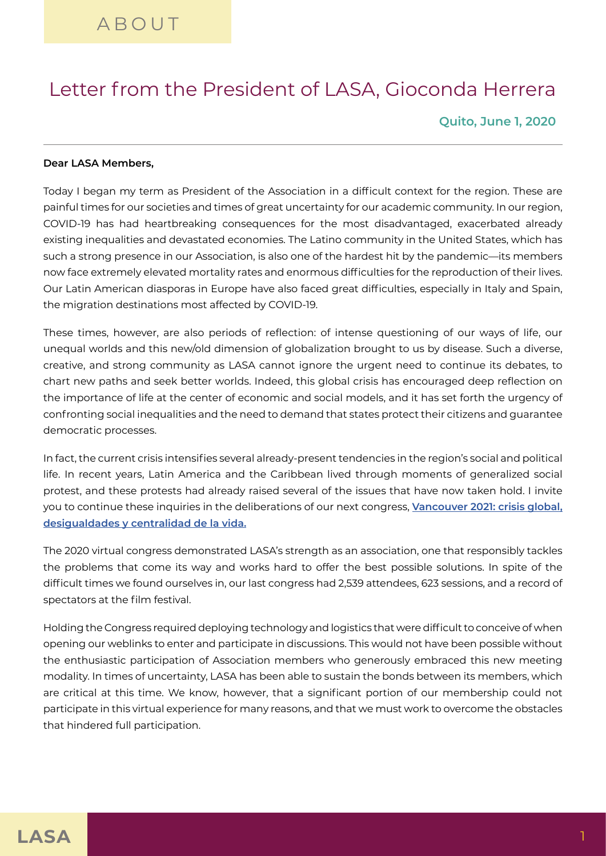## Letter from the President of LASA, Gioconda Herrera

**Quito, June 1, 2020**

## **Dear LASA Members,**

Today I began my term as President of the Association in a difficult context for the region. These are painful times for our societies and times of great uncertainty for our academic community. In our region, COVID-19 has had heartbreaking consequences for the most disadvantaged, exacerbated already existing inequalities and devastated economies. The Latino community in the United States, which has such a strong presence in our Association, is also one of the hardest hit by the pandemic—its members now face extremely elevated mortality rates and enormous difficulties for the reproduction of their lives. Our Latin American diasporas in Europe have also faced great difficulties, especially in Italy and Spain, the migration destinations most affected by COVID-19.

These times, however, are also periods of reflection: of intense questioning of our ways of life, our unequal worlds and this new/old dimension of globalization brought to us by disease. Such a diverse, creative, and strong community as LASA cannot ignore the urgent need to continue its debates, to chart new paths and seek better worlds. Indeed, this global crisis has encouraged deep reflection on the importance of life at the center of economic and social models, and it has set forth the urgency of confronting social inequalities and the need to demand that states protect their citizens and guarantee democratic processes.

In fact, the current crisis intensifies several already-present tendencies in the region's social and political life. In recent years, Latin America and the Caribbean lived through moments of generalized social protest, and these protests had already raised several of the issues that have now taken hold. I invite you to continue these inquiries in the deliberations of our next congress, **[Vancouver 2021: crisis global,](https://lasaweb.org/en/news/call/papers/lasa2021/)  [desigualdades y centralidad de la vida.](https://lasaweb.org/en/news/call/papers/lasa2021/)**

The 2020 virtual congress demonstrated LASA's strength as an association, one that responsibly tackles the problems that come its way and works hard to offer the best possible solutions. In spite of the difficult times we found ourselves in, our last congress had 2,539 attendees, 623 sessions, and a record of spectators at the film festival.

Holding the Congress required deploying technology and logistics that were difficult to conceive of when opening our weblinks to enter and participate in discussions. This would not have been possible without the enthusiastic participation of Association members who generously embraced this new meeting modality. In times of uncertainty, LASA has been able to sustain the bonds between its members, which are critical at this time. We know, however, that a significant portion of our membership could not participate in this virtual experience for many reasons, and that we must work to overcome the obstacles that hindered full participation.